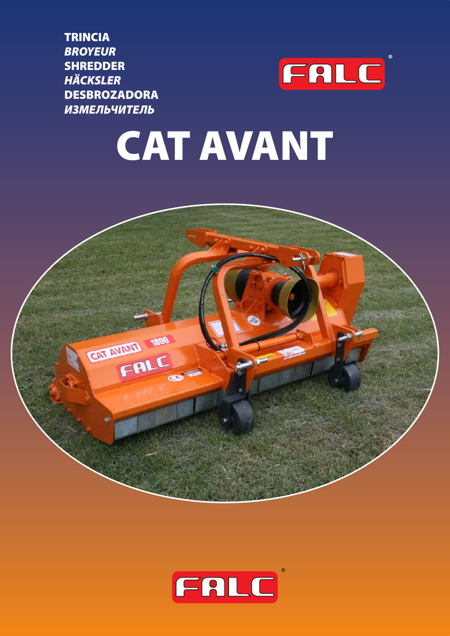**TRINCIA BROYEUR SHREDDER HÄCKSLER DESBROZADORA ИЗМЕЛЬЧИТЕЛЬ** 



# **CAT AVANT**